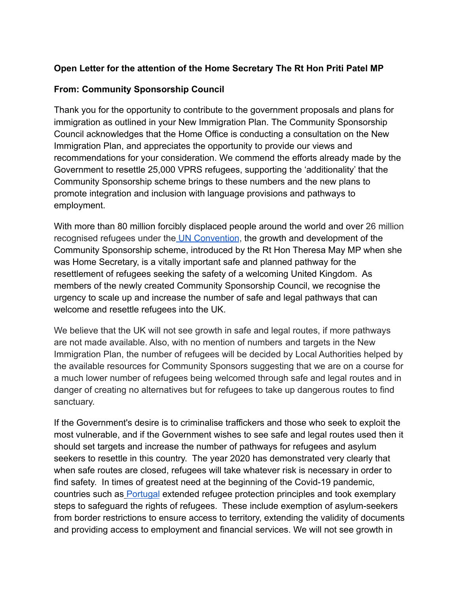## **Open Letter for the attention of the Home Secretary The Rt Hon Priti Patel MP**

### **From: Community Sponsorship Council**

Thank you for the opportunity to contribute to the government proposals and plans for immigration as outlined in your New Immigration Plan. The Community Sponsorship Council acknowledges that the Home Office is conducting a consultation on the New Immigration Plan, and appreciates the opportunity to provide our views and recommendations for your consideration. We commend the efforts already made by the Government to resettle 25,000 VPRS refugees, supporting the 'additionality' that the Community Sponsorship scheme brings to these numbers and the new plans to promote integration and inclusion with language provisions and pathways to employment.

With more than 80 million forcibly displaced people around the world and over 26 million recognised refugees under the [UN Convention](https://www.unhcr.org/refugee-statistics/), the growth and development of the Community Sponsorship scheme, introduced by the Rt Hon Theresa May MP when she was Home Secretary, is a vitally important safe and planned pathway for the resettlement of refugees seeking the safety of a welcoming United Kingdom. As members of the newly created Community Sponsorship Council, we recognise the urgency to scale up and increase the number of safe and legal pathways that can welcome and resettle refugees into the UK.

We believe that the UK will not see growth in safe and legal routes, if more pathways are not made available. Also, with no mention of numbers and targets in the New Immigration Plan, the number of refugees will be decided by Local Authorities helped by the available resources for Community Sponsors suggesting that we are on a course for a much lower number of refugees being welcomed through safe and legal routes and in danger of creating no alternatives but for refugees to take up dangerous routes to find sanctuary.

If the Government's desire is to criminalise traffickers and those who seek to exploit the most vulnerable, and if the Government wishes to see safe and legal routes used then it should set targets and increase the number of pathways for refugees and asylum seekers to resettle in this country. The year 2020 has demonstrated very clearly that when safe routes are closed, refugees will take whatever risk is necessary in order to find safety. In times of greatest need at the beginning of the Covid-19 pandemic, countries such as [Portugal](https://www.unhcr.org/uk/news/press/2021/1/5ffed1554/unhcrs-grandi-concludes-visit-lisbon-commends-portugals-longstanding-commitment.html) extended refugee protection principles and took exemplary steps to safeguard the rights of refugees. These include exemption of asylum-seekers from border restrictions to ensure access to territory, extending the validity of documents and providing access to employment and financial services. We will not see growth in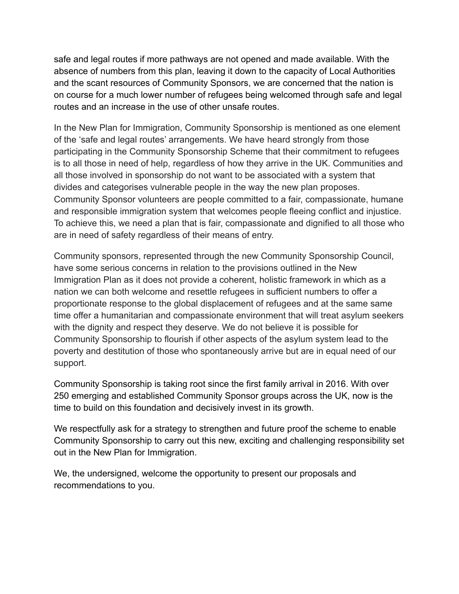safe and legal routes if more pathways are not opened and made available. With the absence of numbers from this plan, leaving it down to the capacity of Local Authorities and the scant resources of Community Sponsors, we are concerned that the nation is on course for a much lower number of refugees being welcomed through safe and legal routes and an increase in the use of other unsafe routes.

In the New Plan for Immigration, Community Sponsorship is mentioned as one element of the 'safe and legal routes' arrangements. We have heard strongly from those participating in the Community Sponsorship Scheme that their commitment to refugees is to all those in need of help, regardless of how they arrive in the UK. Communities and all those involved in sponsorship do not want to be associated with a system that divides and categorises vulnerable people in the way the new plan proposes. Community Sponsor volunteers are people committed to a fair, compassionate, humane and responsible immigration system that welcomes people fleeing conflict and injustice. To achieve this, we need a plan that is fair, compassionate and dignified to all those who are in need of safety regardless of their means of entry.

Community sponsors, represented through the new Community Sponsorship Council, have some serious concerns in relation to the provisions outlined in the New Immigration Plan as it does not provide a coherent, holistic framework in which as a nation we can both welcome and resettle refugees in sufficient numbers to offer a proportionate response to the global displacement of refugees and at the same same time offer a humanitarian and compassionate environment that will treat asylum seekers with the dignity and respect they deserve. We do not believe it is possible for Community Sponsorship to flourish if other aspects of the asylum system lead to the poverty and destitution of those who spontaneously arrive but are in equal need of our support.

Community Sponsorship is taking root since the first family arrival in 2016. With over 250 emerging and established Community Sponsor groups across the UK, now is the time to build on this foundation and decisively invest in its growth.

We respectfully ask for a strategy to strengthen and future proof the scheme to enable Community Sponsorship to carry out this new, exciting and challenging responsibility set out in the New Plan for Immigration.

We, the undersigned, welcome the opportunity to present our proposals and recommendations to you.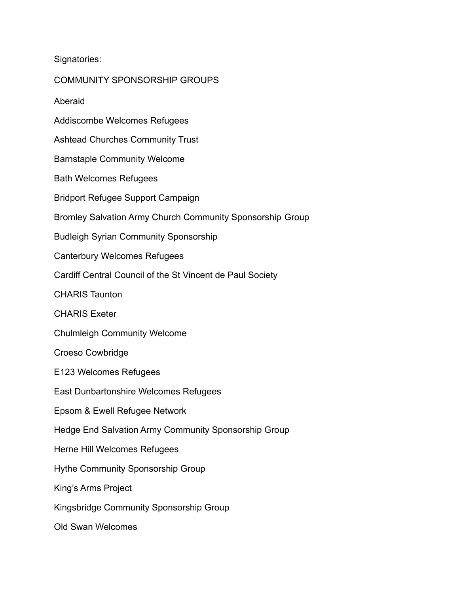Signatories:

COMMUNITY SPONSORSHIP GROUPS Aberaid Addiscombe Welcomes Refugees Ashtead Churches Community Trust Barnstaple Community Welcome Bath Welcomes Refugees Bridport Refugee Support Campaign Bromley Salvation Army Church Community Sponsorship Group Budleigh Syrian Community Sponsorship Canterbury Welcomes Refugees Cardiff Central Council of the St Vincent de Paul Society CHARIS Taunton CHARIS Exeter Chulmleigh Community Welcome Croeso Cowbridge E123 Welcomes Refugees East Dunbartonshire Welcomes Refugees Epsom & Ewell Refugee Network Hedge End Salvation Army Community Sponsorship Group Herne Hill Welcomes Refugees Hythe Community Sponsorship Group King's Arms Project Kingsbridge Community Sponsorship Group Old Swan Welcomes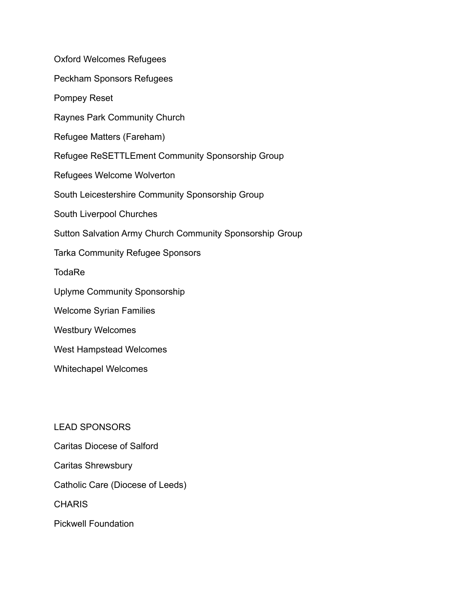Oxford Welcomes Refugees Peckham Sponsors Refugees Pompey Reset Raynes Park Community Church Refugee Matters (Fareham) Refugee ReSETTLEment Community Sponsorship Group Refugees Welcome Wolverton South Leicestershire Community Sponsorship Group South Liverpool Churches Sutton Salvation Army Church Community Sponsorship Group Tarka Community Refugee Sponsors **TodaRe** Uplyme Community Sponsorship Welcome Syrian Families Westbury Welcomes West Hampstead Welcomes Whitechapel Welcomes

LEAD SPONSORS Caritas Diocese of Salford Caritas Shrewsbury

Catholic Care (Diocese of Leeds)

**CHARIS** 

Pickwell Foundation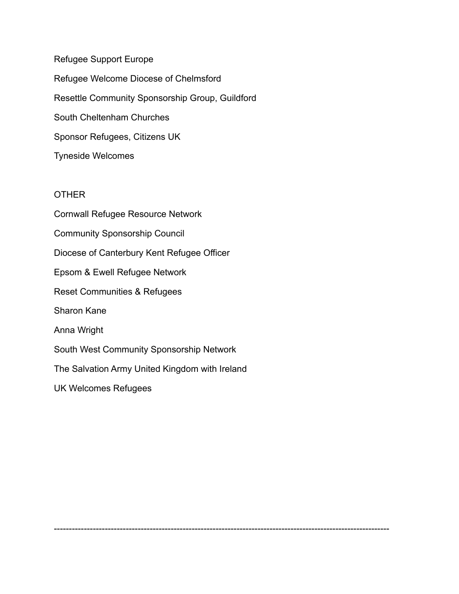Refugee Support Europe Refugee Welcome Diocese of Chelmsford Resettle Community Sponsorship Group, Guildford South Cheltenham Churches Sponsor Refugees, Citizens UK Tyneside Welcomes

#### **OTHER**

Cornwall Refugee Resource Network Community Sponsorship Council Diocese of Canterbury Kent Refugee Officer Epsom & Ewell Refugee Network Reset Communities & Refugees Sharon Kane Anna Wright South West Community Sponsorship Network The Salvation Army United Kingdom with Ireland UK Welcomes Refugees

----------------------------------------------------------------------------------------------------------------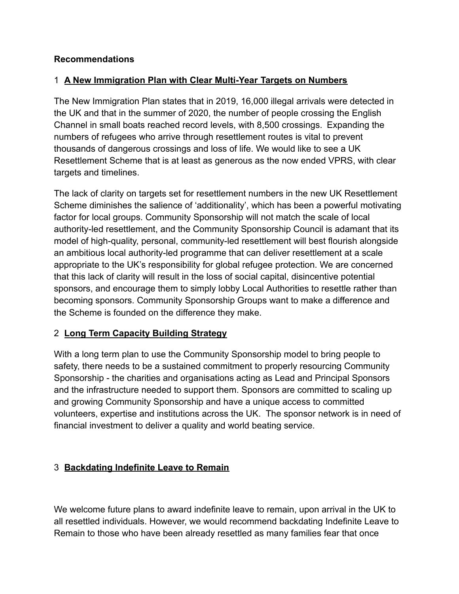## **Recommendations**

# 1 **A New Immigration Plan with Clear Multi-Year Targets on Numbers**

The New Immigration Plan states that in 2019, 16,000 illegal arrivals were detected in the UK and that in the summer of 2020, the number of people crossing the English Channel in small boats reached record levels, with 8,500 crossings. Expanding the numbers of refugees who arrive through resettlement routes is vital to prevent thousands of dangerous crossings and loss of life. We would like to see a UK Resettlement Scheme that is at least as generous as the now ended VPRS, with clear targets and timelines.

The lack of clarity on targets set for resettlement numbers in the new UK Resettlement Scheme diminishes the salience of 'additionality', which has been a powerful motivating factor for local groups. Community Sponsorship will not match the scale of local authority-led resettlement, and the Community Sponsorship Council is adamant that its model of high-quality, personal, community-led resettlement will best flourish alongside an ambitious local authority-led programme that can deliver resettlement at a scale appropriate to the UK's responsibility for global refugee protection. We are concerned that this lack of clarity will result in the loss of social capital, disincentive potential sponsors, and encourage them to simply lobby Local Authorities to resettle rather than becoming sponsors. Community Sponsorship Groups want to make a difference and the Scheme is founded on the difference they make.

# 2 **Long Term Capacity Building Strategy**

With a long term plan to use the Community Sponsorship model to bring people to safety, there needs to be a sustained commitment to properly resourcing Community Sponsorship - the charities and organisations acting as Lead and Principal Sponsors and the infrastructure needed to support them. Sponsors are committed to scaling up and growing Community Sponsorship and have a unique access to committed volunteers, expertise and institutions across the UK. The sponsor network is in need of financial investment to deliver a quality and world beating service.

# 3 **Backdating Indefinite Leave to Remain**

We welcome future plans to award indefinite leave to remain, upon arrival in the UK to all resettled individuals. However, we would recommend backdating Indefinite Leave to Remain to those who have been already resettled as many families fear that once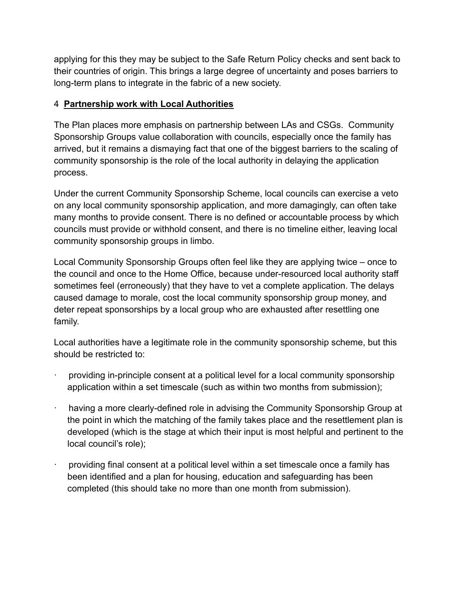applying for this they may be subject to the Safe Return Policy checks and sent back to their countries of origin. This brings a large degree of uncertainty and poses barriers to long-term plans to integrate in the fabric of a new society.

### 4 **Partnership work with Local Authorities**

The Plan places more emphasis on partnership between LAs and CSGs. Community Sponsorship Groups value collaboration with councils, especially once the family has arrived, but it remains a dismaying fact that one of the biggest barriers to the scaling of community sponsorship is the role of the local authority in delaying the application process.

Under the current Community Sponsorship Scheme, local councils can exercise a veto on any local community sponsorship application, and more damagingly, can often take many months to provide consent. There is no defined or accountable process by which councils must provide or withhold consent, and there is no timeline either, leaving local community sponsorship groups in limbo.

Local Community Sponsorship Groups often feel like they are applying twice – once to the council and once to the Home Office, because under-resourced local authority staff sometimes feel (erroneously) that they have to vet a complete application. The delays caused damage to morale, cost the local community sponsorship group money, and deter repeat sponsorships by a local group who are exhausted after resettling one family.

Local authorities have a legitimate role in the community sponsorship scheme, but this should be restricted to:

- providing in-principle consent at a political level for a local community sponsorship application within a set timescale (such as within two months from submission);
- having a more clearly-defined role in advising the Community Sponsorship Group at the point in which the matching of the family takes place and the resettlement plan is developed (which is the stage at which their input is most helpful and pertinent to the local council's role);
- · providing final consent at a political level within a set timescale once a family has been identified and a plan for housing, education and safeguarding has been completed (this should take no more than one month from submission).